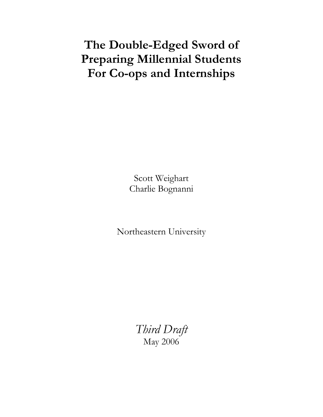# The Double-Edged Sword of Preparing Millennial Students For Co-ops and Internships

Scott Weighart Charlie Bognanni

Northeastern University

Third Draft May 2006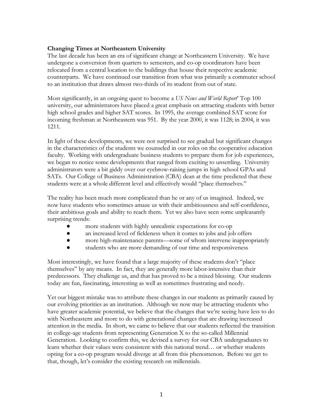## Changing Times at Northeastern University

The last decade has been an era of significant change at Northeastern University. We have undergone a conversion from quarters to semesters, and co-op coordinators have been relocated from a central location to the buildings that house their respective academic counterparts. We have continued our transition from what was primarily a commuter school to an institution that draws almost two-thirds of its student from out of state.

Most significantly, in an ongoing quest to become a US News and World Report' Top 100 university, our administrators have placed a great emphasis on attracting students with better high school grades and higher SAT scores. In 1995, the average combined SAT score for incoming freshman at Northeastern was 951. By the year 2000, it was 1128; in 2004, it was 1211.

In light of these developments, we were not surprised to see gradual but significant changes in the characteristics of the students we counseled in our roles on the cooperative education faculty. Working with undergraduate business students to prepare them for job experiences, we began to notice some developments that ranged from exciting to unsettling. University administrators were a bit giddy over our eyebrow-raising jumps in high school GPAs and SATs. Our College of Business Administration (CBA) dean at the time predicted that these students were at a whole different level and effectively would "place themselves."

The reality has been much more complicated than he or any of us imagined. Indeed, we now have students who sometimes amaze us with their ambitiousness and self-confidence, their ambitious goals and ability to reach them. Yet we also have seen some unpleasantly surprising trends:

- more students with highly unrealistic expectations for co-op
- an increased level of fickleness when it comes to jobs and job offers
- more high-maintenance parents—some of whom intervene inappropriately
- students who are more demanding of our time and responsiveness

Most interestingly, we have found that a large majority of these students don't "place themselves" by any means. In fact, they are generally more labor-intensive than their predecessors. They challenge us, and that has proved to be a mixed blessing. Our students today are fun, fascinating, interesting as well as sometimes frustrating and needy.

Yet our biggest mistake was to attribute these changes in our students as primarily caused by our evolving priorities as an institution. Although we now may be attracting students who have greater academic potential, we believe that the changes that we're seeing have less to do with Northeastern and more to do with generational changes that are drawing increased attention in the media. In short, we came to believe that our students reflected the transition in college-age students from representing Generation X to the so-called Millennial Generation. Looking to confirm this, we devised a survey for our CBA undergraduates to learn whether their values were consistent with this national trend… or whether students opting for a co-op program would diverge at all from this phenomenon. Before we get to that, though, let's consider the existing research on millennials.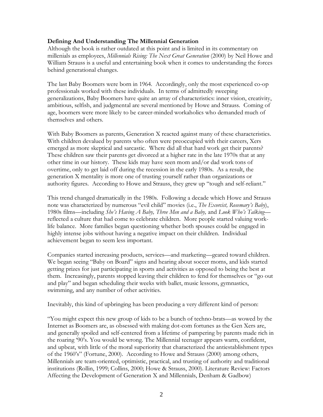## Defining And Understanding The Millennial Generation

Although the book is rather outdated at this point and is limited in its commentary on millenials as employees, Millennials Rising: The Next Great Generation (2000) by Neil Howe and William Strauss is a useful and entertaining book when it comes to understanding the forces behind generational changes.

The last Baby Boomers were born in 1964. Accordingly, only the most experienced co-op professionals worked with these individuals. In terms of admittedly sweeping generalizations, Baby Boomers have quite an array of characteristics: inner vision, creativity, ambitious, selfish, and judgmental are several mentioned by Howe and Strauss. Coming of age, boomers were more likely to be career-minded workaholics who demanded much of themselves and others.

With Baby Boomers as parents, Generation X reacted against many of these characteristics. With children devalued by parents who often were preoccupied with their careers, Xers emerged as more skeptical and sarcastic. Where did all that hard work get their parents? These children saw their parents get divorced at a higher rate in the late 1970s that at any other time in our history. These kids may have seen mom and/or dad work tons of overtime, only to get laid off during the recession in the early 1980s. As a result, the generation X mentality is more one of trusting yourself rather than organizations or authority figures. According to Howe and Strauss, they grew up "tough and self-reliant."

This trend changed dramatically in the 1980s. Following a decade which Howe and Strauss note was characterized by numerous "evil child" movies (i.e., *The Exorcist, Rosemary's Baby*), 1980s films—including She's Having A Baby, Three Men and a Baby, and Look Who's Talking reflected a culture that had come to celebrate children. More people started valuing worklife balance. More families began questioning whether both spouses could be engaged in highly intense jobs without having a negative impact on their children. Individual achievement began to seem less important.

Companies started increasing products, services—and marketing—geared toward children. We began seeing "Baby on Board" signs and hearing about soccer moms, and kids started getting prizes for just participating in sports and activities as opposed to being the best at them. Increasingly, parents stopped leaving their children to fend for themselves or "go out and play" and began scheduling their weeks with ballet, music lessons, gymnastics, swimming, and any number of other activities.

Inevitably, this kind of upbringing has been producing a very different kind of person:

"You might expect this new group of kids to be a bunch of techno-brats—as wowed by the Internet as Boomers are, as obsessed with making dot-com fortunes as the Gen Xers are, and generally spoiled and self-centered from a lifetime of pampering by parents made rich in the roaring '90's. You would be wrong. The Millennial teenager appears warm, confident, and upbeat, with little of the moral superiority that characterized the antiestablishment types of the 1960's" (Fortune, 2000). According to Howe and Strauss (2000) among others, Millennials are team-oriented, optimistic, practical, and trusting of authority and traditional institutions (Rollin, 1999; Collins, 2000; Howe & Strauss, 2000). Literature Review: Factors Affecting the Development of Generation X and Millennials, Denham & Gadbow)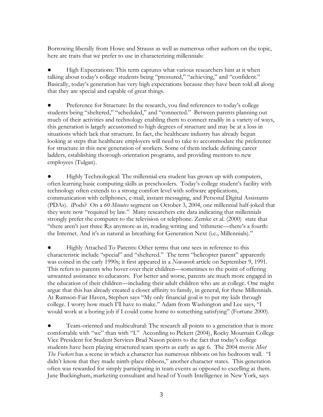Borrowing liberally from Howe and Strauss as well as numerous other authors on the topic, here are traits that we prefer to use in characterizing millennials:

High Expectations: This term captures what various researchers hint at it when talking about today's college students being "pressured," "achieving," and "confident." Basically, today's generation has very high expectations because they have been told all along that they are special and capable of great things.

● Preference for Structure: In the research, you find references to today's college students being "sheltered," "scheduled," and "connected." Between parents planning out much of their activities and technology enabling them to connect readily in a variety of ways, this generation is largely accustomed to high degrees of structure and may be at a loss in situations which lack that structure. In fact, the healthcare industry has already begun looking at steps that healthcare employers will need to take to accommodate the preference for structure in this new generation of workers. Some of them include defining career ladders, establishing thorough orientation programs, and providing mentors to new employees (Tulgan).

Highly Technological: The millennial-era student has grown up with computers, often learning basic computing skills as preschoolers. Today's college student's facility with technology often extends to a strong comfort level with software applications, communication with cellphones, e-mail, instant messaging, and Personal Digital Assistants (PDAs). iPods? On a 60 Minutes segment on October 3, 2004, one millennial half-joked that they were now "required by law." Many researchers cite data indicating that millennials strongly prefer the computer to the television or telephone. Zemke et al. (2000) state that "there aren't just three R;s anymore-as in, reading writing and 'rithmetic—there's a fourth: the Internet. And it's as natural as breathing for Generation Next (i.e., Millennials)."

Highly Attached To Parents: Other terms that one sees in reference to this characteristic include "special" and "sheltered." The term "helicopter parent" apparently was coined in the early 1990s; it first appeared in a Newsweek article on September 9, 1991. This refers to parents who hover over their children—sometimes to the point of offering unwanted assistance to educators. For better and worse, parents are much more engaged in the education of their children—including their adult children who are at college. One might argue that this has already created a closer affinity to family, in general, for these Millennials. At Rumson-Fair Haven, Stephen says "My only financial goal is to put my kids through college. I worry how much I'll have to make." Adam from Washington and Lee says, "I would work at a boring job if I could come home to something satisfying" (Fortune 2000).

● Team-oriented and multicultural: The research all points to a generation that is more comfortable with "we" than with "I." According to Pickett (2004), Rocky Mountain College Vice President for Student Services Brad Nason points to the fact that today's college students have been playing structured team sports as early as age 6. The 2004 movie Meet The Fockers has a scene in which a character has numerous ribbons on his bedroom wall. "I didn't know that they made ninth-place ribbons," another character states. This generation often was rewarded for simply participating in team events as opposed to excelling at them. Jane Buckingham, marketing consultant and head of Youth Intelligence in New York, says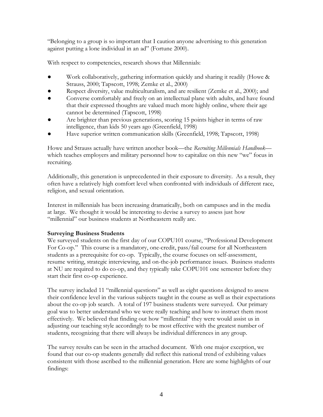"Belonging to a group is so important that I caution anyone advertising to this generation against putting a lone individual in an ad" (Fortune 2000).

With respect to competencies, research shows that Millennials:

- Work collaboratively, gathering information quickly and sharing it readily (Howe & Strauss, 2000; Tapscott, 1998; Zemke et al., 2000)
- Respect diversity, value multiculturalism, and are resilient (Zemke et al., 2000); and
- Converse comfortably and freely on an intellectual plane with adults, and have found that their expressed thoughts are valued much more highly online, where their age cannot be determined (Tapscott, 1998)
- Are brighter than previous generations, scoring 15 points higher in terms of raw intelligence, than kids 50 years ago (Greenfield, 1998)
- Have superior written communication skills (Greenfield, 1998; Tapscott, 1998)

Howe and Strauss actually have written another book—the Recruiting Millennials Handbook which teaches employers and military personnel how to capitalize on this new "we" focus in recruiting.

Additionally, this generation is unprecedented in their exposure to diversity. As a result, they often have a relatively high comfort level when confronted with individuals of different race, religion, and sexual orientation.

Interest in millennials has been increasing dramatically, both on campuses and in the media at large. We thought it would be interesting to devise a survey to assess just how "millennial" our business students at Northeastern really are.

## Surveying Business Students

We surveyed students on the first day of our COPU101 course, "Professional Development For Co-op." This course is a mandatory, one-credit, pass/fail course for all Northeastern students as a prerequisite for co-op. Typically, the course focuses on self-assessment, resume writing, strategic interviewing, and on-the-job performance issues. Business students at NU are required to do co-op, and they typically take COPU101 one semester before they start their first co-op experience.

The survey included 11 "millennial questions" as well as eight questions designed to assess their confidence level in the various subjects taught in the course as well as their expectations about the co-op job search. A total of 197 business students were surveyed. Our primary goal was to better understand who we were really teaching and how to instruct them most effectively. We believed that finding out how "millennial" they were would assist us in adjusting our teaching style accordingly to be most effective with the greatest number of students, recognizing that there will always be individual differences in any group.

The survey results can be seen in the attached document. With one major exception, we found that our co-op students generally did reflect this national trend of exhibiting values consistent with those ascribed to the millennial generation. Here are some highlights of our findings: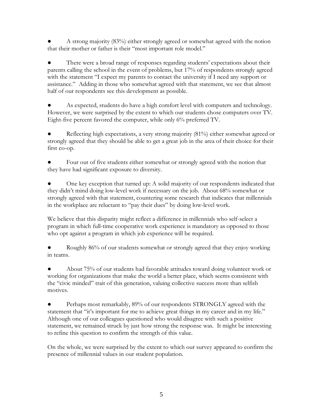● A strong majority (83%) either strongly agreed or somewhat agreed with the notion that their mother or father is their "most important role model."

There were a broad range of responses regarding students' expectations about their parents calling the school in the event of problems, but 17% of respondents strongly agreed with the statement "I expect my parents to contact the university if I need any support or assistance." Adding in those who somewhat agreed with that statement, we see that almost half of our respondents see this development as possible.

As expected, students do have a high comfort level with computers and technology. However, we were surprised by the extent to which our students chose computers over TV. Eight-five percent favored the computer, while only 6% preferred TV.

Reflecting high expectations, a very strong majority (81%) either somewhat agreed or strongly agreed that they should be able to get a great job in the area of their choice for their first co-op.

Four out of five students either somewhat or strongly agreed with the notion that they have had significant exposure to diversity.

One key exception that turned up: A solid majority of our respondents indicated that they didn't mind doing low-level work if necessary on the job. About 68% somewhat or strongly agreed with that statement, countering some research that indicates that millennials in the workplace are reluctant to "pay their dues" by doing low-level work.

We believe that this disparity might reflect a difference in millennials who self-select a program in which full-time cooperative work experience is mandatory as opposed to those who opt against a program in which job experience will be required.

Roughly 86% of our students somewhat or strongly agreed that they enjoy working in teams.

About 75% of our students had favorable attitudes toward doing volunteer work or working for organizations that make the world a better place, which seems consistent with the "civic minded" trait of this generation, valuing collective success more than selfish motives.

• Perhaps most remarkably, 89% of our respondents STRONGLY agreed with the statement that "it's important for me to achieve great things in my career and in my life." Although one of our colleagues questioned who would disagree with such a positive statement, we remained struck by just how strong the response was. It might be interesting to refine this question to confirm the strength of this value.

On the whole, we were surprised by the extent to which our survey appeared to confirm the presence of millennial values in our student population.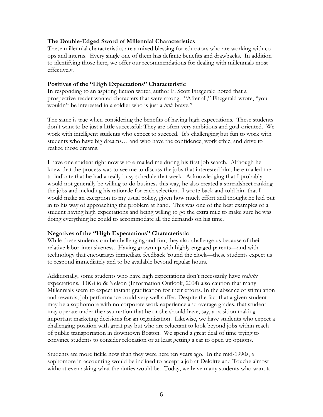#### The Double-Edged Sword of Millennial Characteristics

These millennial characteristics are a mixed blessing for educators who are working with coops and interns. Every single one of them has definite benefits and drawbacks. In addition to identifying those here, we offer our recommendations for dealing with millennials most effectively.

#### Positives of the "High Expectations" Characteristic

In responding to an aspiring fiction writer, author F. Scott Fitzgerald noted that a prospective reader wanted characters that were strong. "After all," Fitzgerald wrote, "you wouldn't be interested in a soldier who is just a *little* brave."

The same is true when considering the benefits of having high expectations. These students don't want to be just a little successful: They are often very ambitious and goal-oriented. We work with intelligent students who expect to succeed. It's challenging but fun to work with students who have big dreams… and who have the confidence, work ethic, and drive to realize those dreams.

I have one student right now who e-mailed me during his first job search. Although he knew that the process was to see me to discuss the jobs that interested him, he e-mailed me to indicate that he had a really busy schedule that week. Acknowledging that I probably would not generally be willing to do business this way, he also created a spreadsheet ranking the jobs and including his rationale for each selection. I wrote back and told him that I would make an exception to my usual policy, given how much effort and thought he had put in to his way of approaching the problem at hand. This was one of the best examples of a student having high expectations and being willing to go the extra mile to make sure he was doing everything he could to accommodate all the demands on his time.

#### Negatives of the "High Expectations" Characteristic

While these students can be challenging and fun, they also challenge us because of their relative labor-intensiveness. Having grown up with highly engaged parents—and with technology that encourages immediate feedback 'round the clock—these students expect us to respond immediately and to be available beyond regular hours.

Additionally, some students who have high expectations don't necessarily have *realistic* expectations. DiGilio & Nelson (Information Outlook, 2004) also caution that many Millennials seem to expect instant gratification for their efforts. In the absence of stimulation and rewards, job performance could very well suffer. Despite the fact that a given student may be a sophomore with no corporate work experience and average grades, that student may operate under the assumption that he or she should have, say, a position making important marketing decisions for an organization. Likewise, we have students who expect a challenging position with great pay but who are reluctant to look beyond jobs within reach of public transportation in downtown Boston. We spend a great deal of time trying to convince students to consider relocation or at least getting a car to open up options.

Students are more fickle now than they were here ten years ago. In the mid-1990s, a sophomore in accounting would be inclined to accept a job at Deloitte and Touche almost without even asking what the duties would be. Today, we have many students who want to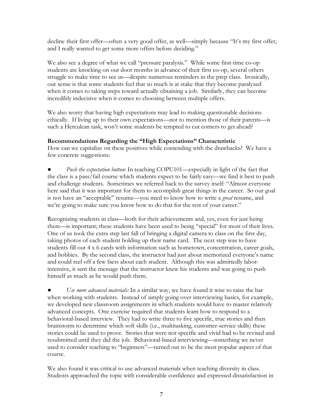decline their first offer—often a very good offer, as well—simply because "It's my first offer, and I really wanted to get some more offers before deciding."

We also see a degree of what we call "pressure paralysis." While some first-time co-op students are knocking on our door months in advance of their first co-op, several others struggle to make time to see us—despite numerous reminders in the prep class. Ironically, our sense is that some students feel that so much is at stake that they become paralyzed when it comes to taking steps toward actually obtaining a job. Similarly, they can become incredibly indecisive when it comes to choosing between multiple offers.

We also worry that having high expectations may lead to making questionable decisions ethically. If living up to their own expectations—not to mention those of their parents—is such a Herculean task, won't some students be tempted to cut corners to get ahead?

## Recommendations Regarding the "High Expectations" Characteristic

How can we capitalize on these positives while contending with the drawbacks? We have a few concrete suggestions:

Push the expectation button: In teaching COPU101—especially in light of the fact that the class is a pass/fail course which students expect to be fairly easy—we find it best to push and challenge students. Sometimes we referred back to the survey itself: "Almost everyone here said that it was important for them to accomplish great things in the career. So our goal is not have an "acceptable" resume—you need to know how to write a *great* resume, and we're going to make sure you know how to do that for the rest of your career."

Recognizing students in class—both for their achievements and, yes, even for just being there—is important; these students have been used to being "special" for most of their lives. One of us took the extra step last fall of bringing a digital camera to class on the first day, taking photos of each student holding up their name card. The next step was to have students fill out 4 x 6 cards with information such as hometown, concentration, career goals, and hobbies. By the second class, the instructor had just about memorized everyone's name and could reel off a few facts about each student. Although this was admittedly laborintensive, it sent the message that the instructor knew his students and was going to push himself as much as he would push them.

Use more advanced materials: In a similar way, we have found it wise to raise the bar when working with students. Instead of simply going over interviewing basics, for example, we developed new classroom assignments in which students would have to master relatively advanced concepts. One exercise required that students learn how to respond to a behavioral-based interview. They had to write three to five specific, true stories and then brainstorm to determine which soft skills (i.e., multitasking, customer-service skills) these stories could be used to prove. Stories that were not specific and vivid had to be revised and resubmitted until they did the job. Behavioral-based interviewing—something we never used to consider teaching to "beginners"—turned out to be the most popular aspect of that course.

We also found it was critical to use advanced materials when teaching diversity in class. Students approached the topic with considerable confidence and expressed dissatisfaction in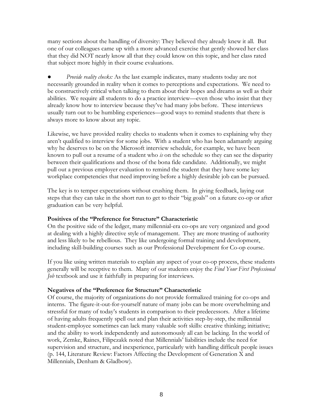many sections about the handling of diversity: They believed they already knew it all. But one of our colleagues came up with a more advanced exercise that gently showed her class that they did NOT nearly know all that they could know on this topic, and her class rated that subject more highly in their course evaluations.

Provide reality checks: As the last example indicates, many students today are not necessarily grounded in reality when it comes to perceptions and expectations. We need to be constructively critical when talking to them about their hopes and dreams as well as their abilities. We require all students to do a practice interview—even those who insist that they already know how to interview because they've had many jobs before. These interviews usually turn out to be humbling experiences—good ways to remind students that there is always more to know about any topic.

Likewise, we have provided reality checks to students when it comes to explaining why they aren't qualified to interview for some jobs. With a student who has been adamantly arguing why he deserves to be on the Microsoft interview schedule, for example, we have been known to pull out a resume of a student who  $\dot{x}$  on the schedule so they can see the disparity between their qualifications and those of the bona fide candidate. Additionally, we might pull out a previous employer evaluation to remind the student that they have some key workplace competencies that need improving before a highly desirable job can be pursued.

The key is to temper expectations without crushing them. In giving feedback, laying out steps that they can take in the short run to get to their "big goals" on a future co-op or after graduation can be very helpful.

#### Positives of the "Preference for Structure" Characteristic

On the positive side of the ledger, many millennial-era co-ops are very organized and good at dealing with a highly directive style of management. They are more trusting of authority and less likely to be rebellious. They like undergoing formal training and development, including skill-building courses such as our Professional Development for Co-op course.

If you like using written materials to explain any aspect of your co-op process, these students generally will be receptive to them. Many of our students enjoy the Find Your First Professional Job textbook and use it faithfully in preparing for interviews.

#### Negatives of the "Preference for Structure" Characteristic

Of course, the majority of organizations do not provide formalized training for co-ops and interns. The figure-it-out-for-yourself nature of many jobs can be more overwhelming and stressful for many of today's students in comparison to their predecessors. After a lifetime of having adults frequently spell out and plan their activities step-by-step, the millennial student-employee sometimes can lack many valuable soft skills: creative thinking; initiative; and the ability to work independently and autonomously all can be lacking. In the world of work, Zemke, Raines, Filipczakk noted that Millennials' liabilities include the need for supervision and structure, and inexperience, particularly with handling difficult people issues (p. 144, Literature Review: Factors Affecting the Development of Generation X and Millennials, Denham & Gladbow).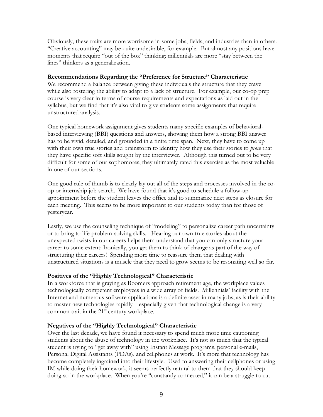Obviously, these traits are more worrisome in some jobs, fields, and industries than in others. "Creative accounting" may be quite undesirable, for example. But almost any positions have moments that require "out of the box" thinking; millennials are more "stay between the lines" thinkers as a generalization.

## Recommendations Regarding the "Preference for Structure" Characteristic

We recommend a balance between giving these individuals the structure that they crave while also fostering the ability to adapt to a lack of structure. For example, our co-op prep course is very clear in terms of course requirements and expectations as laid out in the syllabus, but we find that it's also vital to give students some assignments that require unstructured analysis.

One typical homework assignment gives students many specific examples of behavioralbased interviewing (BBI) questions and answers, showing them how a strong BBI answer has to be vivid, detailed, and grounded in a finite time span. Next, they have to come up with their own true stories and brainstorm to identify how they use their stories to *prove* that they have specific soft skills sought by the interviewer. Although this turned out to be very difficult for some of our sophomores, they ultimately rated this exercise as the most valuable in one of our sections.

One good rule of thumb is to clearly lay out all of the steps and processes involved in the coop or internship job search. We have found that it's good to schedule a follow-up appointment before the student leaves the office and to summarize next steps as closure for each meeting. This seems to be more important to our students today than for those of yesteryear.

Lastly, we use the counseling technique of "modeling" to personalize career path uncertainty or to bring to life problem-solving skills. Hearing our own true stories about the unexpected twists in our careers helps them understand that you can only structure your career to some extent: Ironically, you get them to think of change as part of the way of structuring their careers! Spending more time to reassure them that dealing with unstructured situations is a muscle that they need to grow seems to be resonating well so far.

## Positives of the "Highly Technological" Characteristic

In a workforce that is graying as Boomers approach retirement age, the workplace values technologically competent employees in a wide array of fields. Millennials' facility with the Internet and numerous software applications is a definite asset in many jobs, as is their ability to master new technologies rapidly—especially given that technological change is a very common trait in the  $21<sup>st</sup>$  century workplace.

## Negatives of the "Highly Technological" Characteristic

Over the last decade, we have found it necessary to spend much more time cautioning students about the abuse of technology in the workplace. It's not so much that the typical student is trying to "get away with" using Instant Message programs, personal e-mails, Personal Digital Assistants (PDAs), and cellphones at work. It's more that technology has become completely ingrained into their lifestyle. Used to answering their cellphones or using IM while doing their homework, it seems perfectly natural to them that they should keep doing so in the workplace. When you're "constantly connected," it can be a struggle to cut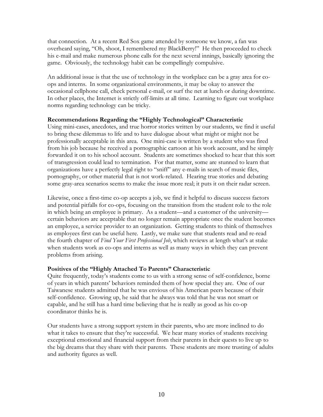that connection. At a recent Red Sox game attended by someone we know, a fan was overheard saying, "Oh, shoot, I remembered my BlackBerry!" He then proceeded to check his e-mail and make numerous phone calls for the next several innings, basically ignoring the game. Obviously, the technology habit can be compellingly compulsive.

An additional issue is that the use of technology in the workplace can be a gray area for coops and interns. In some organizational environments, it may be okay to answer the occasional cellphone call, check personal e-mail, or surf the net at lunch or during downtime. In other places, the Internet is strictly off-limits at all time. Learning to figure out workplace norms regarding technology can be tricky.

## Recommendations Regarding the "Highly Technological" Characteristic

Using mini-cases, anecdotes, and true horror stories written by our students, we find it useful to bring these dilemmas to life and to have dialogue about what might or might not be professionally acceptable in this area. One mini-case is written by a student who was fired from his job because he received a pornographic cartoon at his work account, and he simply forwarded it on to his school account. Students are sometimes shocked to hear that this sort of transgression could lead to termination. For that matter, some are stunned to learn that organizations have a perfectly legal right to "sniff" any e-mails in search of music files, pornography, or other material that is not work-related. Hearing true stories and debating some gray-area scenarios seems to make the issue more real; it puts it on their radar screen.

Likewise, once a first-time co-op accepts a job, we find it helpful to discuss success factors and potential pitfalls for co-ops, focusing on the transition from the student role to the role in which being an employee is primary. As a student—and a customer of the university certain behaviors are acceptable that no longer remain appropriate once the student becomes an employee, a service provider to an organization. Getting students to think of themselves as employees first can be useful here. Lastly, we make sure that students read and re-read the fourth chapter of Find Your First Professional Job, which reviews at length what's at stake when students work as co-ops and interns as well as many ways in which they can prevent problems from arising.

## Positives of the "Highly Attached To Parents" Characteristic

Quite frequently, today's students come to us with a strong sense of self-confidence, borne of years in which parents' behaviors reminded them of how special they are. One of our Taiwanese students admitted that he was envious of his American peers because of their self-confidence. Growing up, he said that he always was told that he was not smart or capable, and he still has a hard time believing that he is really as good as his co-op coordinator thinks he is.

Our students have a strong support system in their parents, who are more inclined to do what it takes to ensure that they're successful. We hear many stories of students receiving exceptional emotional and financial support from their parents in their quests to live up to the big dreams that they share with their parents. These students are more trusting of adults and authority figures as well.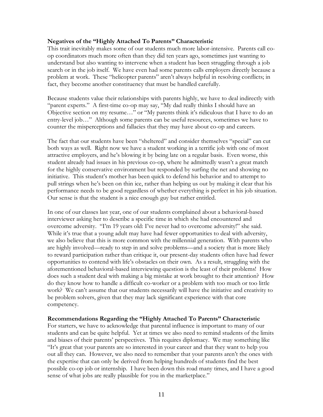#### Negatives of the "Highly Attached To Parents" Characteristic

This trait inevitably makes some of our students much more labor-intensive. Parents call coop coordinators much more often than they did ten years ago, sometimes just wanting to understand but also wanting to intervene when a student has been struggling through a job search or in the job itself. We have even had some parents calls employers directly because a problem at work. These "helicopter parents" aren't always helpful in resolving conflicts; in fact, they become another constituency that must be handled carefully.

Because students value their relationships with parents highly, we have to deal indirectly with "parent experts." A first-time co-op may say, "My dad really thinks I should have an Objective section on my resume…" or "My parents think it's ridiculous that I have to do an entry-level job…" Although some parents can be useful resources, sometimes we have to counter the misperceptions and fallacies that they may have about co-op and careers.

The fact that our students have been "sheltered" and consider themselves "special" can cut both ways as well. Right now we have a student working in a terrific job with one of most attractive employers, and he's blowing it by being late on a regular basis. Even worse, this student already had issues in his previous co-op, where he admittedly wasn't a great match for the highly conservative environment but responded by surfing the net and showing no initiative. This student's mother has been quick to defend his behavior and to attempt to pull strings when he's been on thin ice, rather than helping us out by making it clear that his performance needs to be good regardless of whether everything is perfect in his job situation. Our sense is that the student is a nice enough guy but rather entitled.

In one of our classes last year, one of our students complained about a behavioral-based interviewer asking her to describe a specific time in which she had encountered and overcome adversity. "I'm 19 years old: I've never had to overcome adversity!" she said. While it's true that a young adult may have had fewer opportunities to deal with adversity, we also believe that this is more common with the millennial generation. With parents who are highly involved—ready to step in and solve problems—and a society that is more likely to reward participation rather than critique it, our present-day students often have had fewer opportunities to contend with life's obstacles on their own. As a result, struggling with the aforementioned behavioral-based interviewing question is the least of their problems! How does such a student deal with making a big mistake at work brought to their attention? How do they know how to handle a difficult co-worker or a problem with too much or too little work? We can't assume that our students necessarily will have the initiative and creativity to be problem solvers, given that they may lack significant experience with that core competency.

#### Recommendations Regarding the "Highly Attached To Parents" Characteristic

For starters, we have to acknowledge that parental influence is important to many of our students and can be quite helpful. Yet at times we also need to remind students of the limits and biases of their parents' perspectives. This requires diplomacy. We may something like "It's great that your parents are so interested in your career and that they want to help you out all they can. However, we also need to remember that your parents aren't the ones with the expertise that can only be derived from helping hundreds of students find the best possible co-op job or internship. I have been down this road many times, and I have a good sense of what jobs are really plausible for you in the marketplace."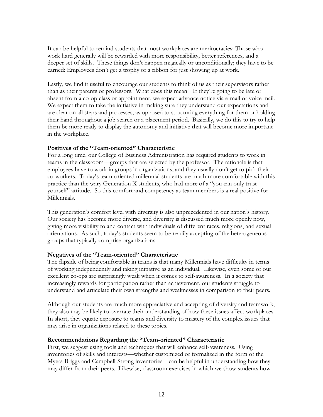It can be helpful to remind students that most workplaces are meritocracies: Those who work hard generally will be rewarded with more responsibility, better references, and a deeper set of skills. These things don't happen magically or unconditionally; they have to be earned: Employees don't get a trophy or a ribbon for just showing up at work.

Lastly, we find it useful to encourage our students to think of us as their supervisors rather than as their parents or professors. What does this mean? If they're going to be late or absent from a co-op class or appointment, we expect advance notice via e-mail or voice mail. We expect them to take the initiative in making sure they understand our expectations and are clear on all steps and processes, as opposed to structuring everything for them or holding their hand throughout a job search or a placement period. Basically, we do this to try to help them be more ready to display the autonomy and initiative that will become more important in the workplace.

#### Positives of the "Team-oriented" Characteristic

For a long time, our College of Business Administration has required students to work in teams in the classroom—groups that are selected by the professor. The rationale is that employees have to work in groups in organizations, and they usually don't get to pick their co-workers. Today's team-oriented millennial students are much more comfortable with this practice than the wary Generation X students, who had more of a "you can only trust yourself" attitude. So this comfort and competency as team members is a real positive for Millennials.

This generation's comfort level with diversity is also unprecedented in our nation's history. Our society has become more diverse, and diversity is discussed much more openly now, giving more visibility to and contact with individuals of different races, religions, and sexual orientations. As such, today's students seem to be readily accepting of the heterogeneous groups that typically comprise organizations.

## Negatives of the "Team-oriented" Characteristic

The flipside of being comfortable in teams is that many Millennials have difficulty in terms of working independently and taking initiative as an individual. Likewise, even some of our excellent co-ops are surprisingly weak when it comes to self-awareness. In a society that increasingly rewards for participation rather than achievement, our students struggle to understand and articulate their own strengths and weaknesses in comparison to their peers.

Although our students are much more appreciative and accepting of diversity and teamwork, they also may be likely to overrate their understanding of how these issues affect workplaces. In short, they equate exposure to teams and diversity to mastery of the complex issues that may arise in organizations related to these topics.

#### Recommendations Regarding the "Team-oriented" Characteristic

First, we suggest using tools and techniques that will enhance self-awareness. Using inventories of skills and interests—whether customized or formalized in the form of the Myers-Briggs and Campbell-Strong inventories—can be helpful in understanding how they may differ from their peers. Likewise, classroom exercises in which we show students how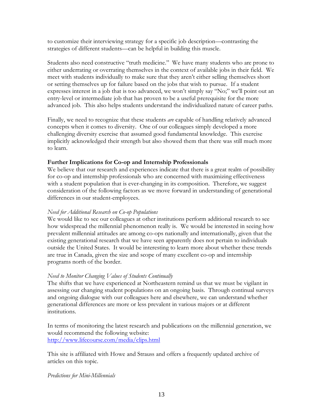to customize their interviewing strategy for a specific job description—contrasting the strategies of different students—can be helpful in building this muscle.

Students also need constructive "truth medicine." We have many students who are prone to either underrating or overrating themselves in the context of available jobs in their field. We meet with students individually to make sure that they aren't either selling themselves short or setting themselves up for failure based on the jobs that wish to pursue. If a student expresses interest in a job that is too advanced, we won't simply say "No;" we'll point out an entry-level or intermediate job that has proven to be a useful prerequisite for the more advanced job. This also helps students understand the individualized nature of career paths.

Finally, we need to recognize that these students *are* capable of handling relatively advanced concepts when it comes to diversity. One of our colleagues simply developed a more challenging diversity exercise that assumed good fundamental knowledge. This exercise implicitly acknowledged their strength but also showed them that there was still much more to learn.

## Further Implications for Co-op and Internship Professionals

We believe that our research and experiences indicate that there is a great realm of possibility for co-op and internship professionals who are concerned with maximizing effectiveness with a student population that is ever-changing in its composition. Therefore, we suggest consideration of the following factors as we move forward in understanding of generational differences in our student-employees.

#### Need for Additional Research on Co-op Populations

We would like to see our colleagues at other institutions perform additional research to see how widespread the millennial phenomenon really is. We would be interested in seeing how prevalent millennial attitudes are among co-ops nationally and internationally, given that the existing generational research that we have seen apparently does not pertain to individuals outside the United States. It would be interesting to learn more about whether these trends are true in Canada, given the size and scope of many excellent co-op and internship programs north of the border.

## Need to Monitor Changing Values of Students Continually

The shifts that we have experienced at Northeastern remind us that we must be vigilant in assessing our changing student populations on an ongoing basis. Through continual surveys and ongoing dialogue with our colleagues here and elsewhere, we can understand whether generational differences are more or less prevalent in various majors or at different institutions.

In terms of monitoring the latest research and publications on the millennial generation, we would recommend the following website: http://www.lifecourse.com/media/clips.html

This site is affiliated with Howe and Strauss and offers a frequently updated archive of articles on this topic.

#### Predictions for Mini-Millennials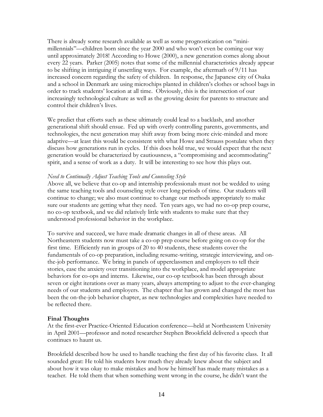There is already some research available as well as some prognostication on "minimillennials"—children born since the year 2000 and who won't even be coming our way until approximately 2018! According to Howe (2000), a new generation comes along about every 22 years. Parker (2005) notes that some of the millennial characteristics already appear to be shifting in intriguing if unsettling ways. For example, the aftermath of 9/11 has increased concern regarding the safety of children. In response, the Japanese city of Osaka and a school in Denmark are using microchips planted in children's clothes or school bags in order to track students' location at all time. Obviously, this is the intersection of our increasingly technological culture as well as the growing desire for parents to structure and control their children's lives.

We predict that efforts such as these ultimately could lead to a backlash, and another generational shift should ensue. Fed up with overly controlling parents, governments, and technologies, the next generation may shift away from being more civic-minded and more adaptive—at least this would be consistent with what Howe and Strauss postulate when they discuss how generations run in cycles. If this does hold true, we would expect that the next generation would be characterized by cautiousness, a "compromising and accommodating" spirit, and a sense of work as a duty. It will be interesting to see how this plays out.

#### Need to Continually Adjust Teaching Tools and Counseling Style

Above all, we believe that co-op and internship professionals must not be wedded to using the same teaching tools and counseling style over long periods of time. Our students will continue to change; we also must continue to change our methods appropriately to make sure our students are getting what they need. Ten years ago, we had no co-op prep course, no co-op textbook, and we did relatively little with students to make sure that they understood professional behavior in the workplace.

To survive and succeed, we have made dramatic changes in all of these areas. All Northeastern students now must take a co-op prep course before going on co-op for the first time. Efficiently run in groups of 20 to 40 students, these students cover the fundamentals of co-op preparation, including resume-writing, strategic interviewing, and onthe-job performance. We bring in panels of upperclassmen and employers to tell their stories, ease the anxiety over transitioning into the workplace, and model appropriate behaviors for co-ops and interns. Likewise, our co-op textbook has been through about seven or eight iterations over as many years, always attempting to adjust to the ever-changing needs of our students and employers. The chapter that has grown and changed the most has been the on-the-job behavior chapter, as new technologies and complexities have needed to be reflected there.

## Final Thoughts

At the first-ever Practice-Oriented Education conference—held at Northeastern University in April 2001—professor and noted researcher Stephen Brookfield delivered a speech that continues to haunt us.

Brookfield described how he used to handle teaching the first day of his favorite class. It all sounded great: He told his students how much they already knew about the subject and about how it was okay to make mistakes and how he himself has made many mistakes as a teacher. He told them that when something went wrong in the course, he didn't want the